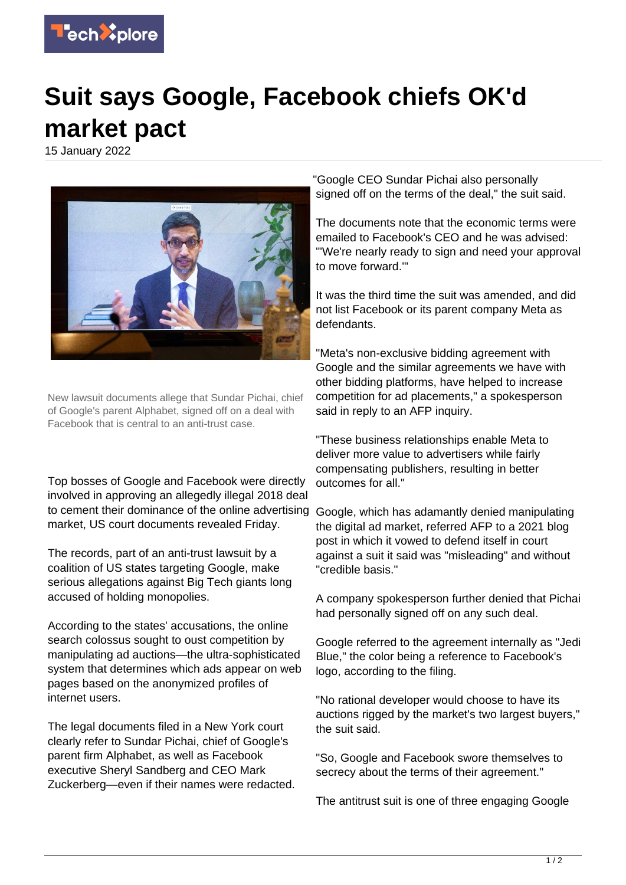

## **Suit says Google, Facebook chiefs OK'd market pact**

15 January 2022



New lawsuit documents allege that Sundar Pichai, chief of Google's parent Alphabet, signed off on a deal with Facebook that is central to an anti-trust case.

Top bosses of Google and Facebook were directly involved in approving an allegedly illegal 2018 deal to cement their dominance of the online advertising Google, which has adamantly denied manipulating market, US court documents revealed Friday.

The records, part of an anti-trust lawsuit by a coalition of US states targeting Google, make serious allegations against Big Tech giants long accused of holding monopolies.

According to the states' accusations, the online search colossus sought to oust competition by manipulating ad auctions—the ultra-sophisticated system that determines which ads appear on web pages based on the anonymized profiles of internet users.

The legal documents filed in a New York court clearly refer to Sundar Pichai, chief of Google's parent firm Alphabet, as well as Facebook executive Sheryl Sandberg and CEO Mark Zuckerberg—even if their names were redacted. "Google CEO Sundar Pichai also personally signed off on the terms of the deal," the suit said.

The documents note that the economic terms were emailed to Facebook's CEO and he was advised: "'We're nearly ready to sign and need your approval to move forward.'"

It was the third time the suit was amended, and did not list Facebook or its parent company Meta as defendants.

"Meta's non-exclusive bidding agreement with Google and the similar agreements we have with other bidding platforms, have helped to increase competition for ad placements," a spokesperson said in reply to an AFP inquiry.

"These business relationships enable Meta to deliver more value to advertisers while fairly compensating publishers, resulting in better outcomes for all."

the digital ad market, referred AFP to a 2021 blog post in which it vowed to defend itself in court against a suit it said was "misleading" and without "credible basis."

A company spokesperson further denied that Pichai had personally signed off on any such deal.

Google referred to the agreement internally as "Jedi Blue," the color being a reference to Facebook's logo, according to the filing.

"No rational developer would choose to have its auctions rigged by the market's two largest buyers," the suit said.

"So, Google and Facebook swore themselves to secrecy about the terms of their agreement."

The antitrust suit is one of three engaging Google